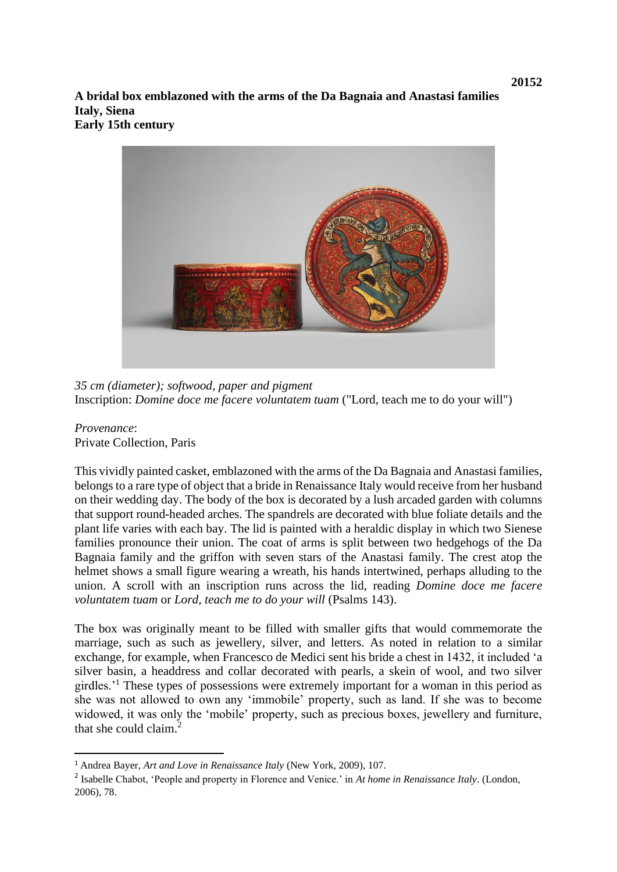**A bridal box emblazoned with the arms of the Da Bagnaia and Anastasi families Italy, Siena Early 15th century**



*35 cm (diameter); softwood, paper and pigment* Inscription: *Domine doce me facere voluntatem tuam* ("Lord, teach me to do your will")

*Provenance*: Private Collection, Paris

This vividly painted casket, emblazoned with the arms of the Da Bagnaia and Anastasi families, belongs to a rare type of object that a bride in Renaissance Italy would receive from her husband on their wedding day. The body of the box is decorated by a lush arcaded garden with columns that support round-headed arches. The spandrels are decorated with blue foliate details and the plant life varies with each bay. The lid is painted with a heraldic display in which two Sienese families pronounce their union. The coat of arms is split between two hedgehogs of the Da Bagnaia family and the griffon with seven stars of the Anastasi family. The crest atop the helmet shows a small figure wearing a wreath, his hands intertwined, perhaps alluding to the union. A scroll with an inscription runs across the lid, reading *Domine doce me facere voluntatem tuam* or *Lord, teach me to do your will* (Psalms 143).

The box was originally meant to be filled with smaller gifts that would commemorate the marriage, such as such as jewellery, silver, and letters. As noted in relation to a similar exchange, for example, when Francesco de Medici sent his bride a chest in 1432, it included 'a silver basin, a headdress and collar decorated with pearls, a skein of wool, and two silver girdles.'<sup>1</sup> These types of possessions were extremely important for a woman in this period as she was not allowed to own any 'immobile' property, such as land. If she was to become widowed, it was only the 'mobile' property, such as precious boxes, jewellery and furniture, that she could claim.<sup>2</sup>

<sup>1</sup> Andrea Bayer, *Art and Love in Renaissance Italy* (New York, 2009), 107.

<sup>2</sup> Isabelle Chabot, 'People and property in Florence and Venice.' in *At home in Renaissance Italy*. (London, 2006), 78.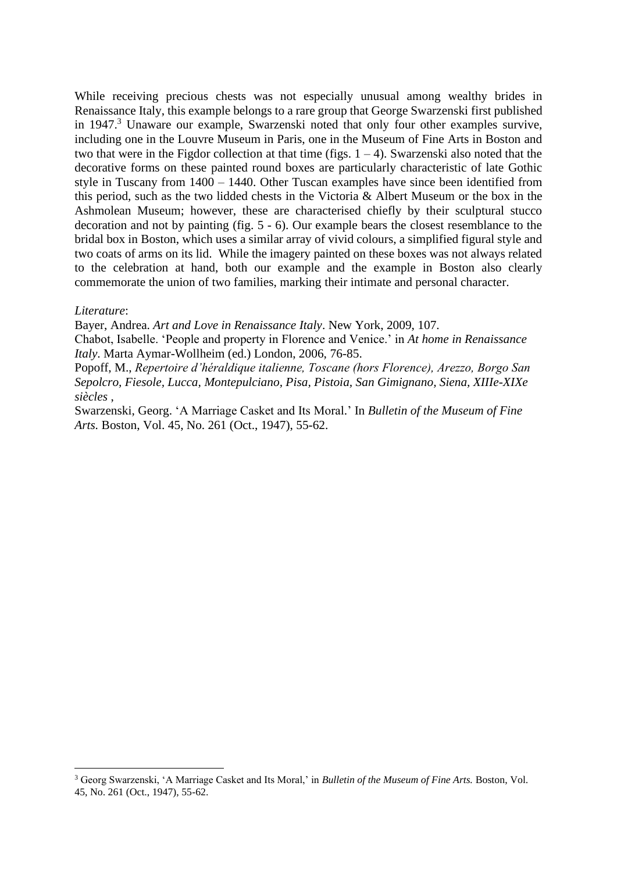While receiving precious chests was not especially unusual among wealthy brides in Renaissance Italy, this example belongs to a rare group that George Swarzenski first published in 1947.<sup>3</sup> Unaware our example, Swarzenski noted that only four other examples survive, including one in the Louvre Museum in Paris, one in the Museum of Fine Arts in Boston and two that were in the Figdor collection at that time (figs.  $1 - 4$ ). Swarzenski also noted that the decorative forms on these painted round boxes are particularly characteristic of late Gothic style in Tuscany from 1400 – 1440. Other Tuscan examples have since been identified from this period, such as the two lidded chests in the Victoria & Albert Museum or the box in the Ashmolean Museum; however, these are characterised chiefly by their sculptural stucco decoration and not by painting (fig. 5 - 6). Our example bears the closest resemblance to the bridal box in Boston, which uses a similar array of vivid colours, a simplified figural style and two coats of arms on its lid. While the imagery painted on these boxes was not always related to the celebration at hand, both our example and the example in Boston also clearly commemorate the union of two families, marking their intimate and personal character.

## *Literature*:

Bayer, Andrea. *Art and Love in Renaissance Italy*. New York, 2009, 107.

Chabot, Isabelle. 'People and property in Florence and Venice.' in *At home in Renaissance Italy*. Marta Aymar-Wollheim (ed.) London, 2006, 76-85.

Popoff, M., *Repertoire d'héraldique italienne, Toscane (hors Florence), Arezzo, Borgo San Sepolcro, Fiesole, Lucca, Montepulciano, Pisa, Pistoia, San Gimignano, Siena, XIIIe-XIXe siècles* ,

Swarzenski, Georg. 'A Marriage Casket and Its Moral.' In *Bulletin of the Museum of Fine Arts.* Boston, Vol. 45, No. 261 (Oct., 1947), 55-62.

<sup>3</sup> Georg Swarzenski, 'A Marriage Casket and Its Moral,' in *Bulletin of the Museum of Fine Arts.* Boston, Vol. 45, No. 261 (Oct., 1947), 55-62.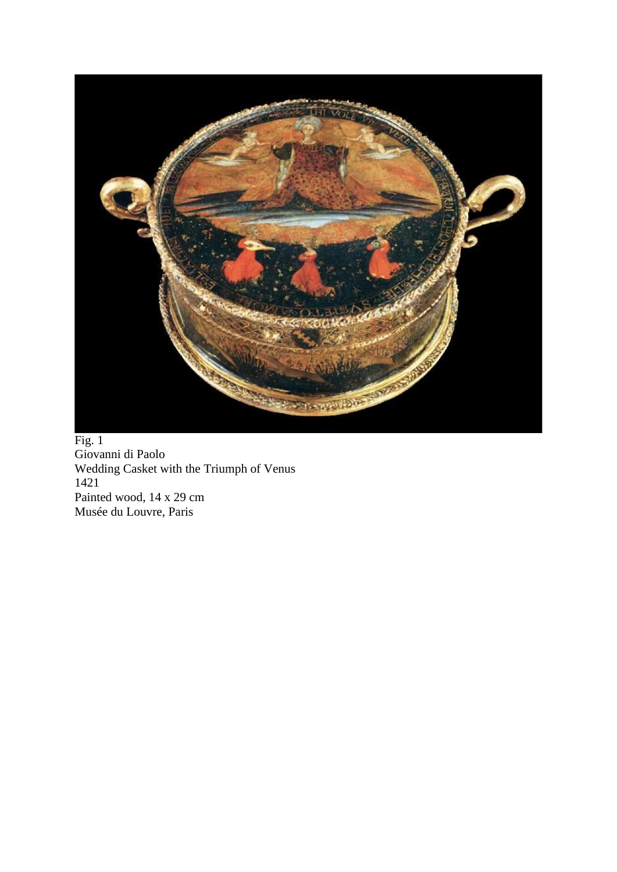

Fig. 1 Giovanni di Paolo Wedding Casket with the Triumph of Venus 1421 Painted wood, 14 x 29 cm Musée du Louvre, Paris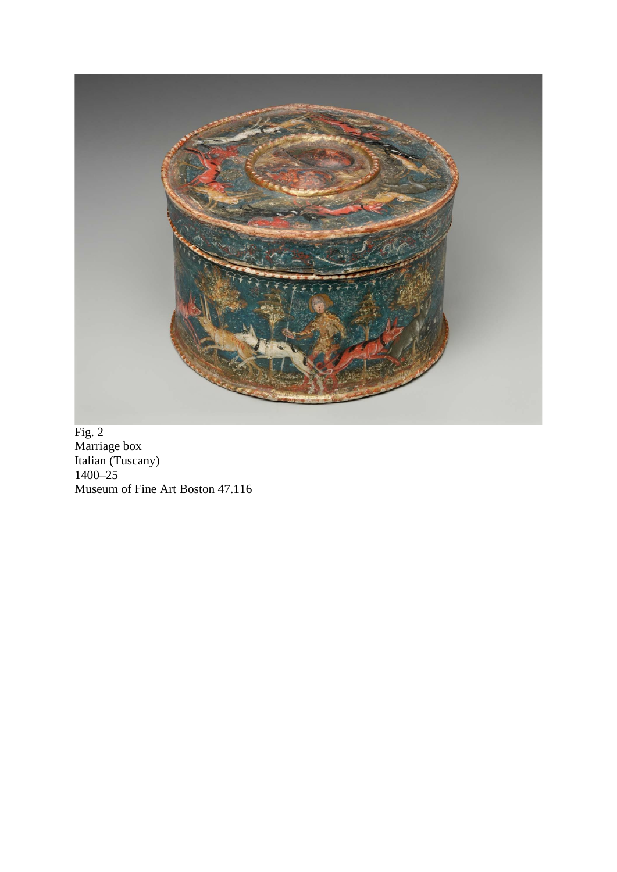

Fig. 2 Marriage box Italian (Tuscany) 1400–25 Museum of Fine Art Boston 47.116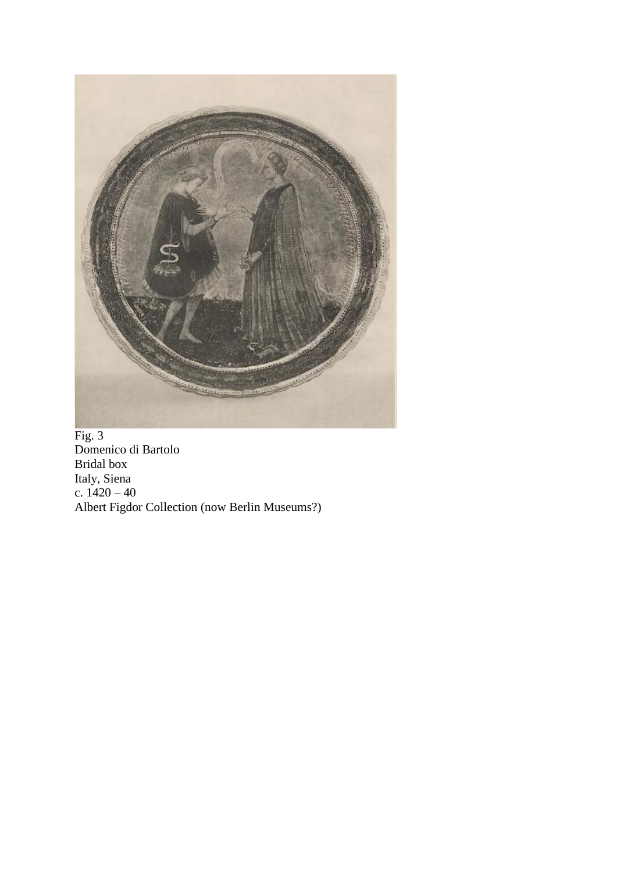

Fig. 3 Domenico di Bartolo Bridal box Italy, Siena c. 1420 – 40 Albert Figdor Collection (now Berlin Museums?)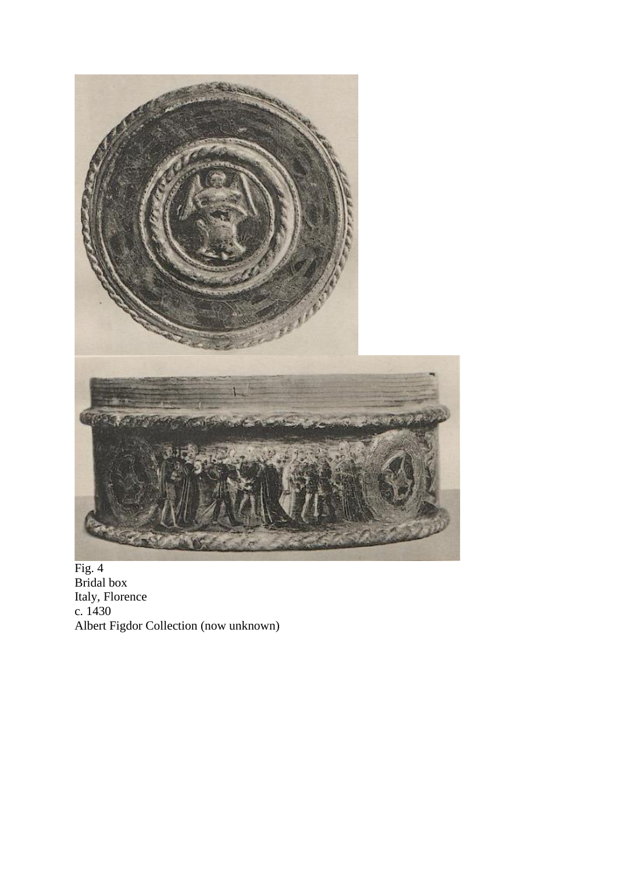

Fig. 4 Bridal box Italy, Florence c. 1430 Albert Figdor Collection (now unknown)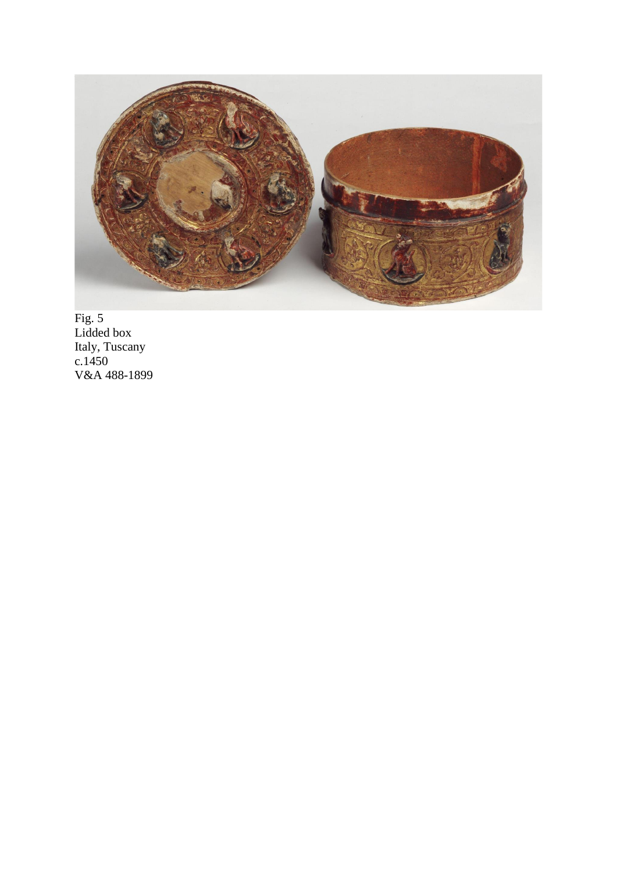

Fig. 5 Lidded box Italy, Tuscany c.1450 V&A 488-1899